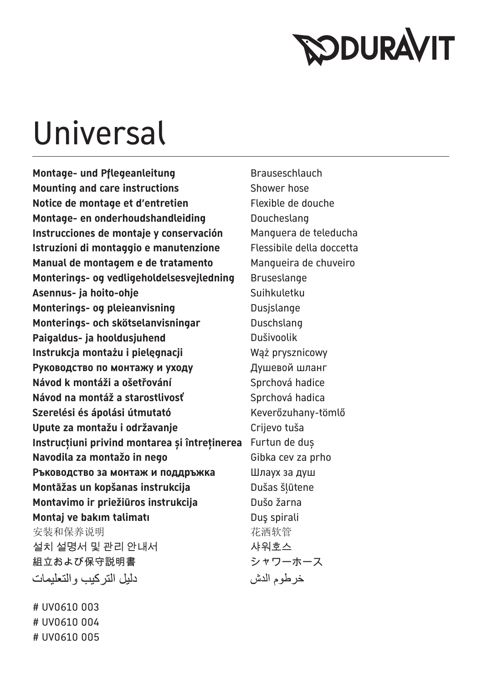

## Universal

**Montage- und Pflegeanleitung Enail Brauseschlauch Mounting and care instructions** Shower hose **Notice de montage et d'entretien** Flexible de douche **Montage- en onderhoudshandleiding brand Doucheslang Instrucciones de montaje y conservación** Manguera de teleducha **Istruzioni di montaggio e manutenzione** Flessibile della doccetta **Manual de montagem e de tratamento** Mangueira de chuveiro **Monterings- og vedligeholdelsesvejledning** Bruseslange Asennus- ja hoito-ohje<br>
Suihkuletku **Monterings- og pleieanvisning med andre Dusislange Monterings- och skötselanvisningar Buschslang Paigaldus- ja hooldusjuhend** Dušivoolik **Instrukcja montażu i pielegnacji** Wąż prysznicowy Руководство по монтажу и уходу и душевой шланг **Návod k montáži a ošetřování** Sprchová hadice **Návod na montáž a starostlivosť** Sprchová hadica Szerelési és ápolási útmutató **Keverőzuhany-tömlő Upute za montažu i održavanje Crijevo kaza i predsjednika kaza i Zapada i Zapada i Zapada i Zapada i Zapada i** Z **Instrucțiuni privind montarea și întreținerea** Furtun de duș **Navodila za montažo in nego** Gibka cev za prho **Ръководство за монтаж и поддръжка** Шлаух за душ **Montāžas un kopšanas instrukcija** Dušas šļūtene **Montavimo ir priežiūros instrukcija** Dušo žarna **Montai ve bakım talimatı Dus spirali** Dus spirali 安装和保养说明 不可以 医心脏 医心脏 化洒软管 설치 설명서 및 관리 안내서 다시 아이들 사워호스 組立および保守説明書 おんじょう シャワーホース دلبل التركبب والتعليمات

# UV0610 003 # UV0610 004 # UV0610 005 خر طوم الدش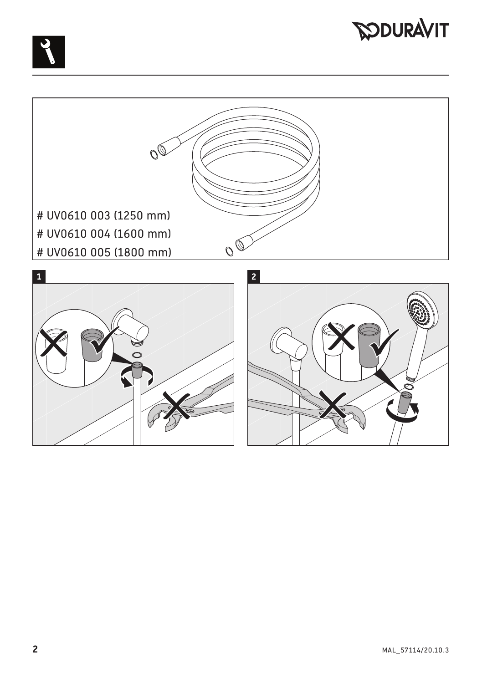



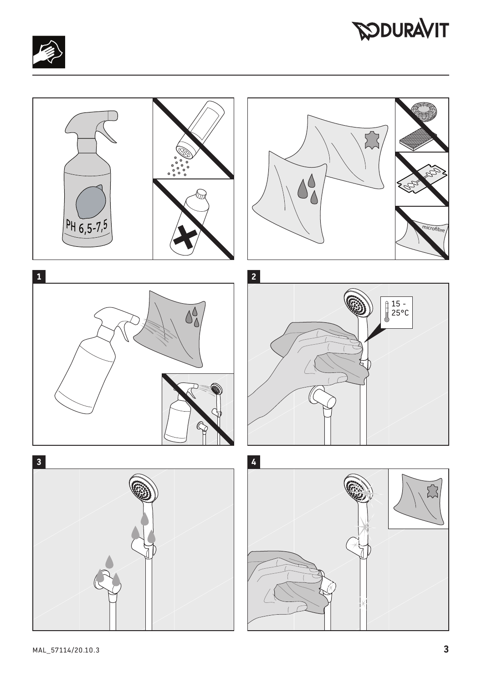